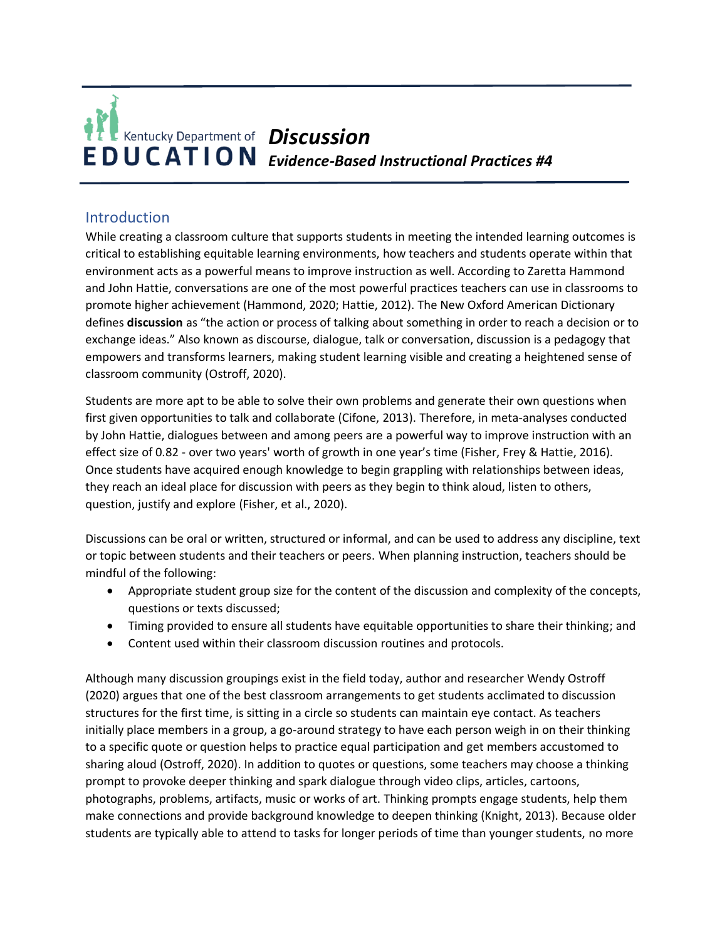# **Kentucky Department of Discussion EDUCATION** Evidence-Based Instructional Practices #4

# Introduction

While creating a classroom culture that supports students in meeting the intended learning outcomes is critical to establishing equitable learning environments, how teachers and students operate within that environment acts as a powerful means to improve instruction as well. According to Zaretta Hammond and John Hattie, conversations are one of the most powerful practices teachers can use in classrooms to promote higher achievement (Hammond, 2020; Hattie, 2012). The New Oxford American Dictionary defines **discussion** as "the action or process of talking about something in order to reach a decision or to exchange ideas." Also known as discourse, dialogue, talk or conversation, discussion is a pedagogy that empowers and transforms learners, making student learning visible and creating a heightened sense of classroom community (Ostroff, 2020).

Students are more apt to be able to solve their own problems and generate their own questions when first given opportunities to talk and collaborate (Cifone, 2013). Therefore, in meta-analyses conducted by John Hattie, dialogues between and among peers are a powerful way to improve instruction with an effect size of 0.82 - over two years' worth of growth in one year's time (Fisher, Frey & Hattie, 2016). Once students have acquired enough knowledge to begin grappling with relationships between ideas, they reach an ideal place for discussion with peers as they begin to think aloud, listen to others, question, justify and explore (Fisher, et al., 2020).

Discussions can be oral or written, structured or informal, and can be used to address any discipline, text or topic between students and their teachers or peers. When planning instruction, teachers should be mindful of the following:

- Appropriate student group size for the content of the discussion and complexity of the concepts, questions or texts discussed;
- Timing provided to ensure all students have equitable opportunities to share their thinking; and
- Content used within their classroom discussion routines and protocols.

Although many discussion groupings exist in the field today, author and researcher Wendy Ostroff (2020) argues that one of the best classroom arrangements to get students acclimated to discussion structures for the first time, is sitting in a circle so students can maintain eye contact. As teachers initially place members in a group, a go-around strategy to have each person weigh in on their thinking to a specific quote or question helps to practice equal participation and get members accustomed to sharing aloud (Ostroff, 2020). In addition to quotes or questions, some teachers may choose a thinking prompt to provoke deeper thinking and spark dialogue through video clips, articles, cartoons, photographs, problems, artifacts, music or works of art. Thinking prompts engage students, help them make connections and provide background knowledge to deepen thinking (Knight, 2013). Because older students are typically able to attend to tasks for longer periods of time than younger students, no more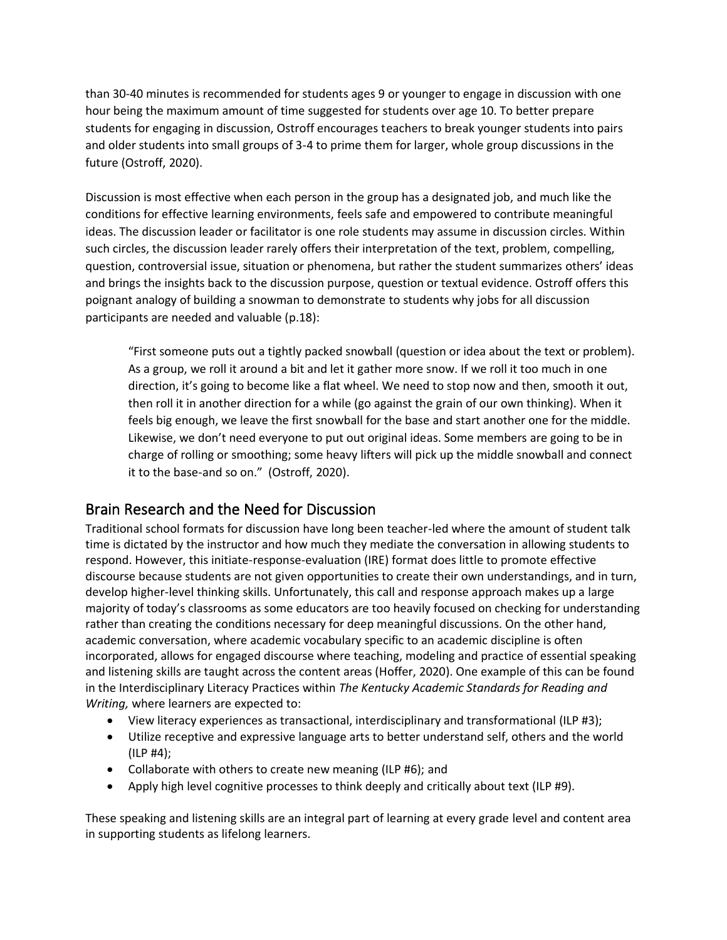than 30-40 minutes is recommended for students ages 9 or younger to engage in discussion with one hour being the maximum amount of time suggested for students over age 10. To better prepare students for engaging in discussion, Ostroff encourages teachers to break younger students into pairs and older students into small groups of 3-4 to prime them for larger, whole group discussions in the future (Ostroff, 2020).

Discussion is most effective when each person in the group has a designated job, and much like the conditions for effective learning environments, feels safe and empowered to contribute meaningful ideas. The discussion leader or facilitator is one role students may assume in discussion circles. Within such circles, the discussion leader rarely offers their interpretation of the text, problem, compelling, question, controversial issue, situation or phenomena, but rather the student summarizes others' ideas and brings the insights back to the discussion purpose, question or textual evidence. Ostroff offers this poignant analogy of building a snowman to demonstrate to students why jobs for all discussion participants are needed and valuable (p.18):

"First someone puts out a tightly packed snowball (question or idea about the text or problem). As a group, we roll it around a bit and let it gather more snow. If we roll it too much in one direction, it's going to become like a flat wheel. We need to stop now and then, smooth it out, then roll it in another direction for a while (go against the grain of our own thinking). When it feels big enough, we leave the first snowball for the base and start another one for the middle. Likewise, we don't need everyone to put out original ideas. Some members are going to be in charge of rolling or smoothing; some heavy lifters will pick up the middle snowball and connect it to the base-and so on." (Ostroff, 2020).

# Brain Research and the Need for Discussion

Traditional school formats for discussion have long been teacher-led where the amount of student talk time is dictated by the instructor and how much they mediate the conversation in allowing students to respond. However, this initiate-response-evaluation (IRE) format does little to promote effective discourse because students are not given opportunities to create their own understandings, and in turn, develop higher-level thinking skills. Unfortunately, this call and response approach makes up a large majority of today's classrooms as some educators are too heavily focused on checking for understanding rather than creating the conditions necessary for deep meaningful discussions. On the other hand, academic conversation, where academic vocabulary specific to an academic discipline is often incorporated, allows for engaged discourse where teaching, modeling and practice of essential speaking and listening skills are taught across the content areas (Hoffer, 2020). One example of this can be found in the Interdisciplinary Literacy Practices within *The Kentucky Academic Standards for Reading and Writing,* where learners are expected to:

- View literacy experiences as transactional, interdisciplinary and transformational (ILP #3);
- Utilize receptive and expressive language arts to better understand self, others and the world (ILP #4);
- Collaborate with others to create new meaning (ILP #6); and
- Apply high level cognitive processes to think deeply and critically about text (ILP #9).

These speaking and listening skills are an integral part of learning at every grade level and content area in supporting students as lifelong learners.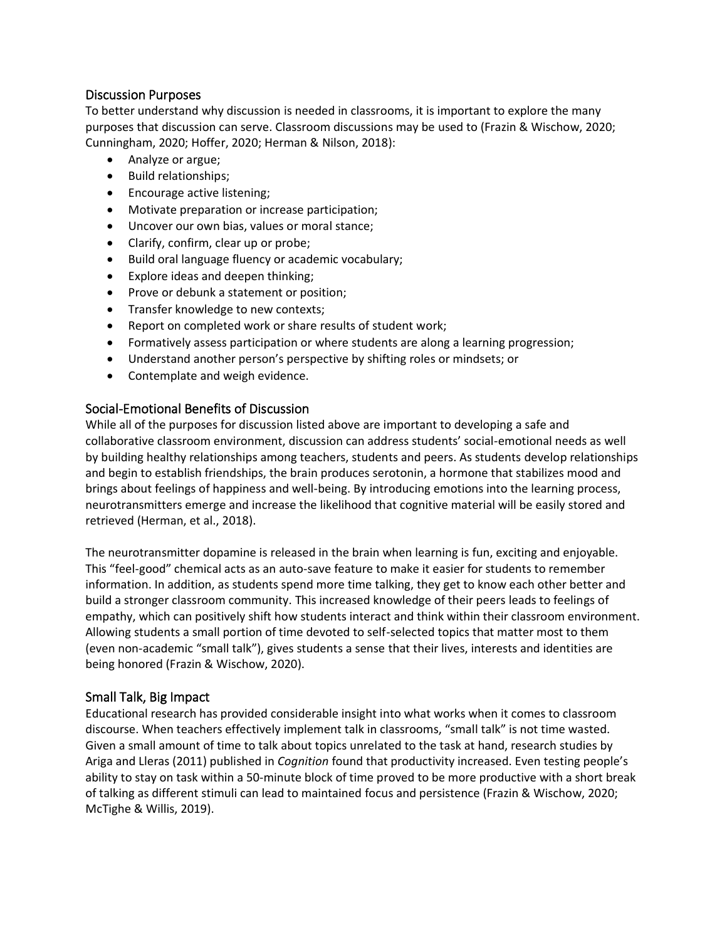#### Discussion Purposes

To better understand why discussion is needed in classrooms, it is important to explore the many purposes that discussion can serve. Classroom discussions may be used to (Frazin & Wischow, 2020; Cunningham, 2020; Hoffer, 2020; Herman & Nilson, 2018):

- Analyze or argue;
- Build relationships;
- Encourage active listening;
- Motivate preparation or increase participation;
- Uncover our own bias, values or moral stance;
- Clarify, confirm, clear up or probe;
- Build oral language fluency or academic vocabulary;
- Explore ideas and deepen thinking;
- Prove or debunk a statement or position;
- Transfer knowledge to new contexts;
- Report on completed work or share results of student work;
- Formatively assess participation or where students are along a learning progression;
- Understand another person's perspective by shifting roles or mindsets; or
- Contemplate and weigh evidence.

#### Social-Emotional Benefits of Discussion

While all of the purposes for discussion listed above are important to developing a safe and collaborative classroom environment, discussion can address students' social-emotional needs as well by building healthy relationships among teachers, students and peers. As students develop relationships and begin to establish friendships, the brain produces serotonin, a hormone that stabilizes mood and brings about feelings of happiness and well-being. By introducing emotions into the learning process, neurotransmitters emerge and increase the likelihood that cognitive material will be easily stored and retrieved (Herman, et al., 2018).

The neurotransmitter dopamine is released in the brain when learning is fun, exciting and enjoyable. This "feel-good" chemical acts as an auto-save feature to make it easier for students to remember information. In addition, as students spend more time talking, they get to know each other better and build a stronger classroom community. This increased knowledge of their peers leads to feelings of empathy, which can positively shift how students interact and think within their classroom environment. Allowing students a small portion of time devoted to self-selected topics that matter most to them (even non-academic "small talk"), gives students a sense that their lives, interests and identities are being honored (Frazin & Wischow, 2020).

## Small Talk, Big Impact

Educational research has provided considerable insight into what works when it comes to classroom discourse. When teachers effectively implement talk in classrooms, "small talk" is not time wasted. Given a small amount of time to talk about topics unrelated to the task at hand, research studies by Ariga and Lleras (2011) published in *Cognition* found that productivity increased. Even testing people's ability to stay on task within a 50-minute block of time proved to be more productive with a short break of talking as different stimuli can lead to maintained focus and persistence (Frazin & Wischow, 2020; McTighe & Willis, 2019).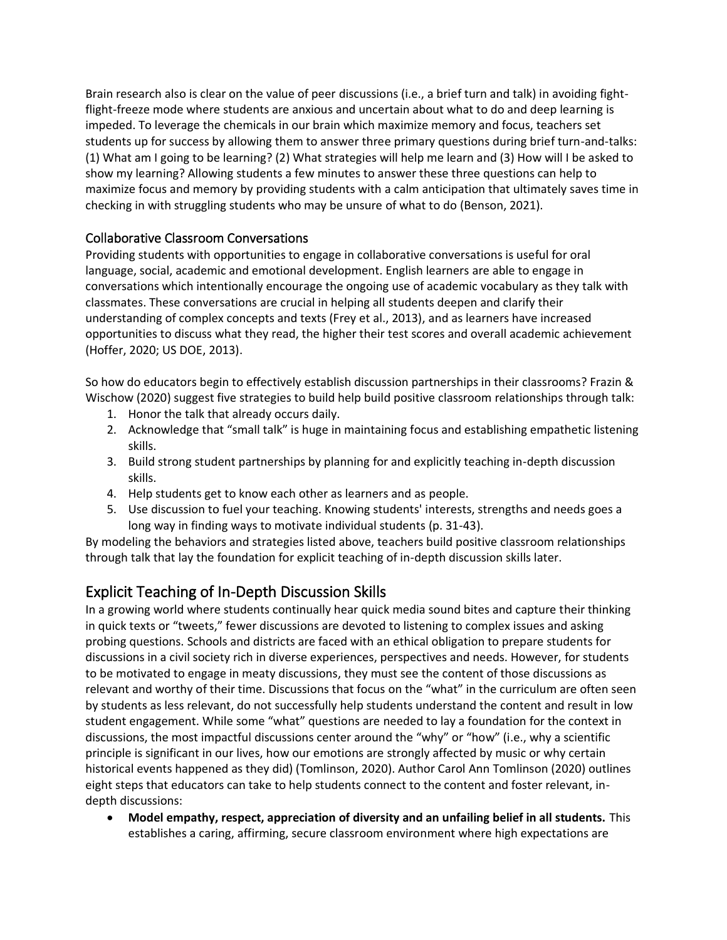Brain research also is clear on the value of peer discussions (i.e., a brief turn and talk) in avoiding fightflight-freeze mode where students are anxious and uncertain about what to do and deep learning is impeded. To leverage the chemicals in our brain which maximize memory and focus, teachers set students up for success by allowing them to answer three primary questions during brief turn-and-talks: (1) What am I going to be learning? (2) What strategies will help me learn and (3) How will I be asked to show my learning? Allowing students a few minutes to answer these three questions can help to maximize focus and memory by providing students with a calm anticipation that ultimately saves time in checking in with struggling students who may be unsure of what to do (Benson, 2021).

## Collaborative Classroom Conversations

Providing students with opportunities to engage in collaborative conversations is useful for oral language, social, academic and emotional development. English learners are able to engage in conversations which intentionally encourage the ongoing use of academic vocabulary as they talk with classmates. These conversations are crucial in helping all students deepen and clarify their understanding of complex concepts and texts (Frey et al., 2013), and as learners have increased opportunities to discuss what they read, the higher their test scores and overall academic achievement (Hoffer, 2020; US DOE, 2013).

So how do educators begin to effectively establish discussion partnerships in their classrooms? Frazin & Wischow (2020) suggest five strategies to build help build positive classroom relationships through talk:

- 1. Honor the talk that already occurs daily.
- 2. Acknowledge that "small talk" is huge in maintaining focus and establishing empathetic listening skills.
- 3. Build strong student partnerships by planning for and explicitly teaching in-depth discussion skills.
- 4. Help students get to know each other as learners and as people.
- 5. Use discussion to fuel your teaching. Knowing students' interests, strengths and needs goes a long way in finding ways to motivate individual students (p. 31-43).

By modeling the behaviors and strategies listed above, teachers build positive classroom relationships through talk that lay the foundation for explicit teaching of in-depth discussion skills later.

# Explicit Teaching of In-Depth Discussion Skills

In a growing world where students continually hear quick media sound bites and capture their thinking in quick texts or "tweets," fewer discussions are devoted to listening to complex issues and asking probing questions. Schools and districts are faced with an ethical obligation to prepare students for discussions in a civil society rich in diverse experiences, perspectives and needs. However, for students to be motivated to engage in meaty discussions, they must see the content of those discussions as relevant and worthy of their time. Discussions that focus on the "what" in the curriculum are often seen by students as less relevant, do not successfully help students understand the content and result in low student engagement. While some "what" questions are needed to lay a foundation for the context in discussions, the most impactful discussions center around the "why" or "how" (i.e., why a scientific principle is significant in our lives, how our emotions are strongly affected by music or why certain historical events happened as they did) (Tomlinson, 2020). Author Carol Ann Tomlinson (2020) outlines eight steps that educators can take to help students connect to the content and foster relevant, indepth discussions:

• **Model empathy, respect, appreciation of diversity and an unfailing belief in all students.** This establishes a caring, affirming, secure classroom environment where high expectations are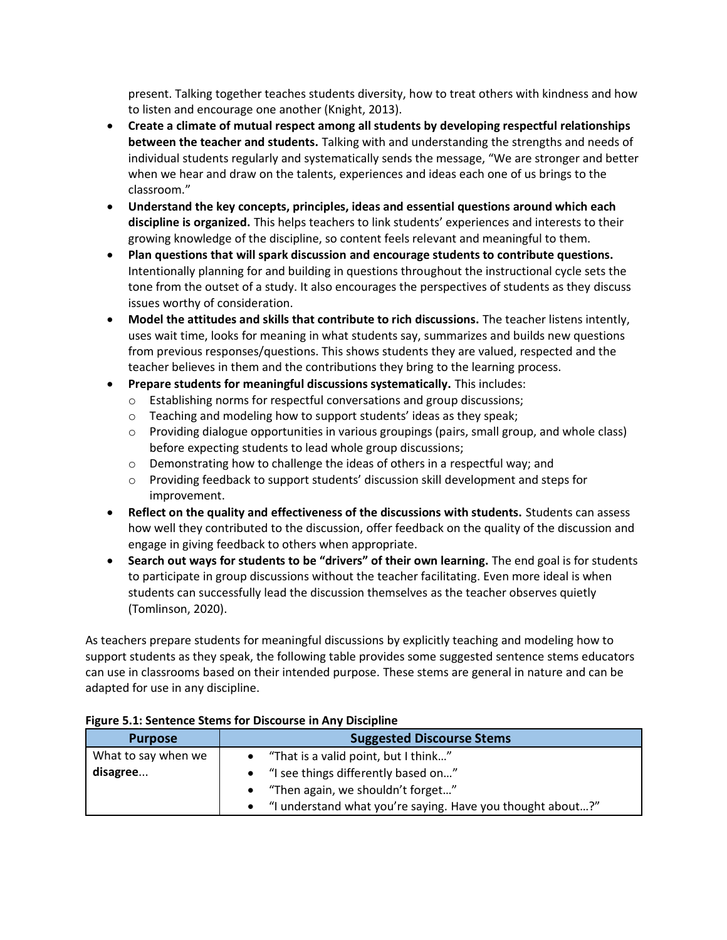present. Talking together teaches students diversity, how to treat others with kindness and how to listen and encourage one another (Knight, 2013).

- **Create a climate of mutual respect among all students by developing respectful relationships between the teacher and students.** Talking with and understanding the strengths and needs of individual students regularly and systematically sends the message, "We are stronger and better when we hear and draw on the talents, experiences and ideas each one of us brings to the classroom."
- **Understand the key concepts, principles, ideas and essential questions around which each discipline is organized.** This helps teachers to link students' experiences and interests to their growing knowledge of the discipline, so content feels relevant and meaningful to them.
- **Plan questions that will spark discussion and encourage students to contribute questions.**  Intentionally planning for and building in questions throughout the instructional cycle sets the tone from the outset of a study. It also encourages the perspectives of students as they discuss issues worthy of consideration.
- **Model the attitudes and skills that contribute to rich discussions.** The teacher listens intently, uses wait time, looks for meaning in what students say, summarizes and builds new questions from previous responses/questions. This shows students they are valued, respected and the teacher believes in them and the contributions they bring to the learning process.
- **Prepare students for meaningful discussions systematically.** This includes:
	- o Establishing norms for respectful conversations and group discussions;
	- $\circ$  Teaching and modeling how to support students' ideas as they speak;
	- $\circ$  Providing dialogue opportunities in various groupings (pairs, small group, and whole class) before expecting students to lead whole group discussions;
	- $\circ$  Demonstrating how to challenge the ideas of others in a respectful way; and
	- $\circ$  Providing feedback to support students' discussion skill development and steps for improvement.
- **Reflect on the quality and effectiveness of the discussions with students.** Students can assess how well they contributed to the discussion, offer feedback on the quality of the discussion and engage in giving feedback to others when appropriate.
- **Search out ways for students to be "drivers" of their own learning.** The end goal is for students to participate in group discussions without the teacher facilitating. Even more ideal is when students can successfully lead the discussion themselves as the teacher observes quietly (Tomlinson, 2020).

As teachers prepare students for meaningful discussions by explicitly teaching and modeling how to support students as they speak, the following table provides some suggested sentence stems educators can use in classrooms based on their intended purpose. These stems are general in nature and can be adapted for use in any discipline.

| <b>Purpose</b>      | <b>Suggested Discourse Stems</b>                           |
|---------------------|------------------------------------------------------------|
| What to say when we | "That is a valid point, but I think"                       |
| disagree            | "I see things differently based on"                        |
|                     | "Then again, we shouldn't forget"                          |
|                     | "I understand what you're saying. Have you thought about?" |

#### **Figure 5.1: Sentence Stems for Discourse in Any Discipline**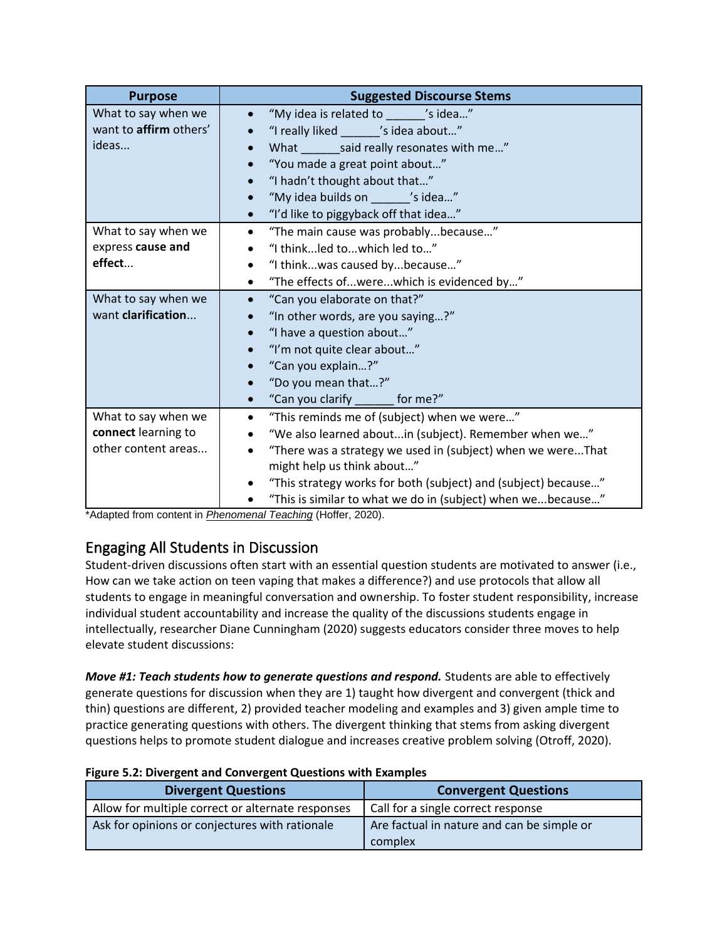| <b>Purpose</b>                                                    | <b>Suggested Discourse Stems</b>                                                                                                                                                                                                                                                                                                                                          |
|-------------------------------------------------------------------|---------------------------------------------------------------------------------------------------------------------------------------------------------------------------------------------------------------------------------------------------------------------------------------------------------------------------------------------------------------------------|
| What to say when we<br>want to affirm others'<br>ideas            | "My idea is related to _______ 's idea"<br>"I really liked 's idea about"<br>What ________ said really resonates with me"<br>$\bullet$<br>"You made a great point about"<br>$\bullet$<br>"I hadn't thought about that"<br>$\bullet$<br>"My idea builds on _______ 's idea"<br>$\bullet$<br>"I'd like to piggyback off that idea"<br>$\bullet$                             |
| What to say when we<br>express cause and<br>effect                | "The main cause was probablybecause"<br>$\bullet$<br>"I thinkled towhich led to"<br>$\bullet$<br>"I thinkwas caused bybecause"<br>$\bullet$<br>"The effects ofwerewhich is evidenced by"<br>$\bullet$                                                                                                                                                                     |
| What to say when we<br>want clarification                         | "Can you elaborate on that?"<br>$\bullet$<br>"In other words, are you saying?"<br>"I have a question about"<br>$\bullet$<br>"I'm not quite clear about"<br>$\bullet$<br>"Can you explain?"<br>$\bullet$<br>"Do you mean that?"<br>$\bullet$<br>"Can you clarify _______ for me?"<br>$\bullet$                                                                             |
| What to say when we<br>connect learning to<br>other content areas | "This reminds me of (subject) when we were"<br>$\bullet$<br>"We also learned aboutin (subject). Remember when we"<br>$\bullet$<br>"There was a strategy we used in (subject) when we wereThat<br>$\bullet$<br>might help us think about"<br>"This strategy works for both (subject) and (subject) because"<br>"This is similar to what we do in (subject) when webecause" |

\*Adapted from content in *Phenomenal Teaching* (Hoffer, 2020).

# Engaging All Students in Discussion

Student-driven discussions often start with an essential question students are motivated to answer (i.e., How can we take action on teen vaping that makes a difference?) and use protocols that allow all students to engage in meaningful conversation and ownership. To foster student responsibility, increase individual student accountability and increase the quality of the discussions students engage in intellectually, researcher Diane Cunningham (2020) suggests educators consider three moves to help elevate student discussions:

*Move #1: Teach students how to generate questions and respond.* Students are able to effectively generate questions for discussion when they are 1) taught how divergent and convergent (thick and thin) questions are different, 2) provided teacher modeling and examples and 3) given ample time to practice generating questions with others. The divergent thinking that stems from asking divergent questions helps to promote student dialogue and increases creative problem solving (Otroff, 2020).

| <b>Divergent Questions</b>                        | <b>Convergent Questions</b>                           |
|---------------------------------------------------|-------------------------------------------------------|
| Allow for multiple correct or alternate responses | Call for a single correct response                    |
| Ask for opinions or conjectures with rationale    | Are factual in nature and can be simple or<br>complex |

#### **Figure 5.2: Divergent and Convergent Questions with Examples**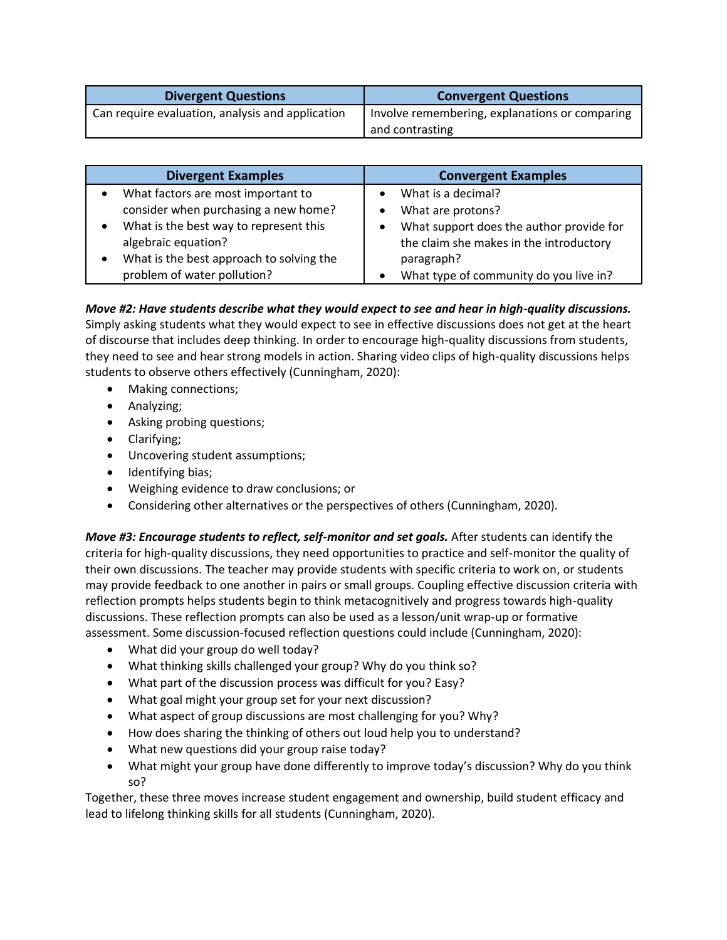| <b>Divergent Questions</b>                       | <b>Convergent Questions</b>                    |
|--------------------------------------------------|------------------------------------------------|
| Can require evaluation, analysis and application | Involve remembering, explanations or comparing |
|                                                  | and contrasting                                |

| <b>Divergent Examples</b>                | <b>Convergent Examples</b>               |
|------------------------------------------|------------------------------------------|
| What factors are most important to       | What is a decimal?                       |
| consider when purchasing a new home?     | What are protons?                        |
| What is the best way to represent this   | What support does the author provide for |
| algebraic equation?                      | the claim she makes in the introductory  |
| What is the best approach to solving the | paragraph?                               |
| problem of water pollution?              | What type of community do you live in?   |

## *Move #2: Have students describe what they would expect to see and hear in high-quality discussions.*

Simply asking students what they would expect to see in effective discussions does not get at the heart of discourse that includes deep thinking. In order to encourage high-quality discussions from students, they need to see and hear strong models in action. Sharing video clips of high-quality discussions helps students to observe others effectively (Cunningham, 2020):

- Making connections;
- Analyzing;
- Asking probing questions;
- Clarifying;
- Uncovering student assumptions;
- Identifying bias;
- Weighing evidence to draw conclusions; or
- Considering other alternatives or the perspectives of others (Cunningham, 2020).

*Move #3: Encourage students to reflect, self-monitor and set goals.* After students can identify the criteria for high-quality discussions, they need opportunities to practice and self-monitor the quality of their own discussions. The teacher may provide students with specific criteria to work on, or students may provide feedback to one another in pairs or small groups. Coupling effective discussion criteria with reflection prompts helps students begin to think metacognitively and progress towards high-quality discussions. These reflection prompts can also be used as a lesson/unit wrap-up or formative assessment. Some discussion-focused reflection questions could include (Cunningham, 2020):

- What did your group do well today?
- What thinking skills challenged your group? Why do you think so?
- What part of the discussion process was difficult for you? Easy?
- What goal might your group set for your next discussion?
- What aspect of group discussions are most challenging for you? Why?
- How does sharing the thinking of others out loud help you to understand?
- What new questions did your group raise today?
- What might your group have done differently to improve today's discussion? Why do you think so?

Together, these three moves increase student engagement and ownership, build student efficacy and lead to lifelong thinking skills for all students (Cunningham, 2020).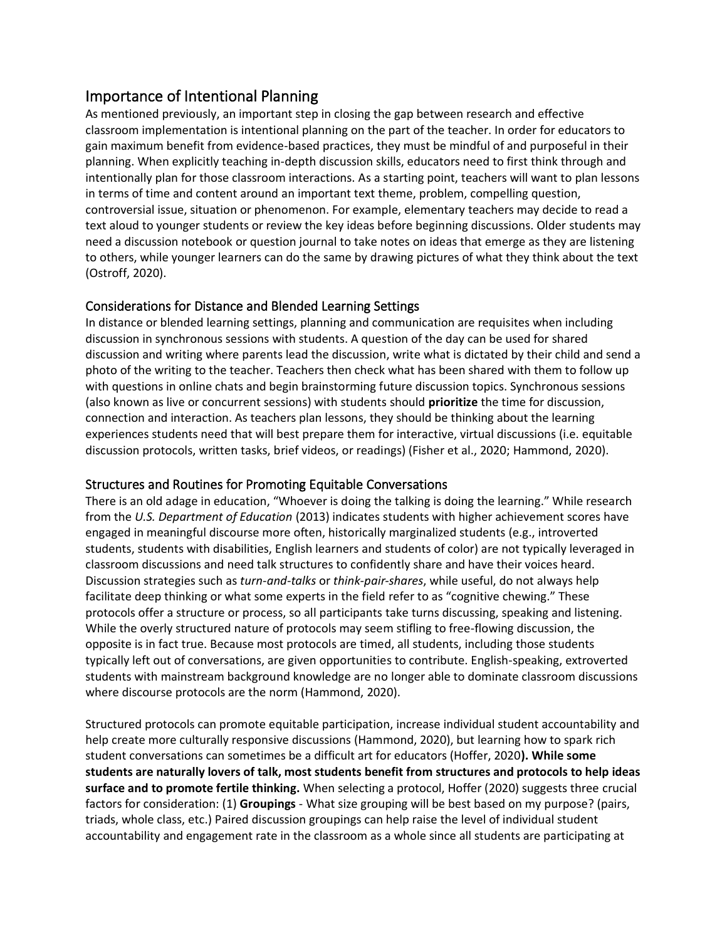# Importance of Intentional Planning

As mentioned previously, an important step in closing the gap between research and effective classroom implementation is intentional planning on the part of the teacher. In order for educators to gain maximum benefit from evidence-based practices, they must be mindful of and purposeful in their planning. When explicitly teaching in-depth discussion skills, educators need to first think through and intentionally plan for those classroom interactions. As a starting point, teachers will want to plan lessons in terms of time and content around an important text theme, problem, compelling question, controversial issue, situation or phenomenon. For example, elementary teachers may decide to read a text aloud to younger students or review the key ideas before beginning discussions. Older students may need a discussion notebook or question journal to take notes on ideas that emerge as they are listening to others, while younger learners can do the same by drawing pictures of what they think about the text (Ostroff, 2020).

## Considerations for Distance and Blended Learning Settings

In distance or blended learning settings, planning and communication are requisites when including discussion in synchronous sessions with students. A question of the day can be used for shared discussion and writing where parents lead the discussion, write what is dictated by their child and send a photo of the writing to the teacher. Teachers then check what has been shared with them to follow up with questions in online chats and begin brainstorming future discussion topics. Synchronous sessions (also known as live or concurrent sessions) with students should **prioritize** the time for discussion, connection and interaction. As teachers plan lessons, they should be thinking about the learning experiences students need that will best prepare them for interactive, virtual discussions (i.e. equitable discussion protocols, written tasks, brief videos, or readings) (Fisher et al., 2020; Hammond, 2020).

## Structures and Routines for Promoting Equitable Conversations

There is an old adage in education, "Whoever is doing the talking is doing the learning." While research from the *U.S. Department of Education* (2013) indicates students with higher achievement scores have engaged in meaningful discourse more often, historically marginalized students (e.g., introverted students, students with disabilities, English learners and students of color) are not typically leveraged in classroom discussions and need talk structures to confidently share and have their voices heard. Discussion strategies such as *turn-and-talks* or *think-pair-shares*, while useful, do not always help facilitate deep thinking or what some experts in the field refer to as "cognitive chewing." These protocols offer a structure or process, so all participants take turns discussing, speaking and listening. While the overly structured nature of protocols may seem stifling to free-flowing discussion, the opposite is in fact true. Because most protocols are timed, all students, including those students typically left out of conversations, are given opportunities to contribute. English-speaking, extroverted students with mainstream background knowledge are no longer able to dominate classroom discussions where discourse protocols are the norm (Hammond, 2020).

Structured protocols can promote equitable participation, increase individual student accountability and help create more culturally responsive discussions (Hammond, 2020), but learning how to spark rich student conversations can sometimes be a difficult art for educators (Hoffer, 2020**). While some students are naturally lovers of talk, most students benefit from structures and protocols to help ideas surface and to promote fertile thinking.** When selecting a protocol, Hoffer (2020) suggests three crucial factors for consideration: (1) **Groupings** - What size grouping will be best based on my purpose? (pairs, triads, whole class, etc.) Paired discussion groupings can help raise the level of individual student accountability and engagement rate in the classroom as a whole since all students are participating at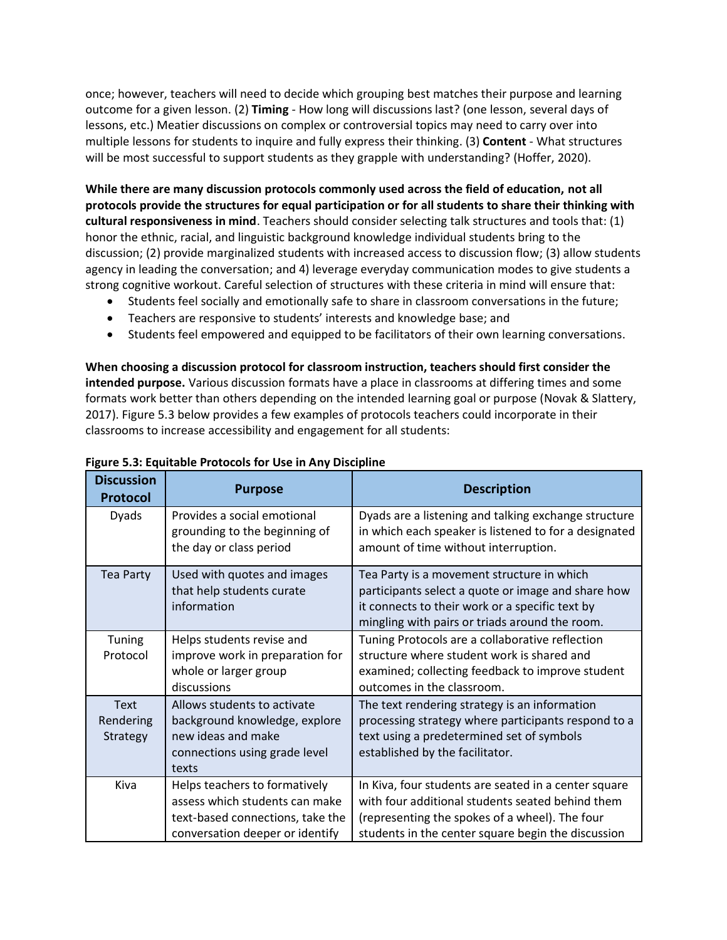once; however, teachers will need to decide which grouping best matches their purpose and learning outcome for a given lesson. (2) **Timing** - How long will discussions last? (one lesson, several days of lessons, etc.) Meatier discussions on complex or controversial topics may need to carry over into multiple lessons for students to inquire and fully express their thinking. (3) **Content** - What structures will be most successful to support students as they grapple with understanding? (Hoffer, 2020).

**While there are many discussion protocols commonly used across the field of education, not all protocols provide the structures for equal participation or for all students to share their thinking with cultural responsiveness in mind**. Teachers should consider selecting talk structures and tools that: (1) honor the ethnic, racial, and linguistic background knowledge individual students bring to the discussion; (2) provide marginalized students with increased access to discussion flow; (3) allow students agency in leading the conversation; and 4) leverage everyday communication modes to give students a strong cognitive workout. Careful selection of structures with these criteria in mind will ensure that:

- Students feel socially and emotionally safe to share in classroom conversations in the future;
- Teachers are responsive to students' interests and knowledge base; and
- Students feel empowered and equipped to be facilitators of their own learning conversations.

**When choosing a discussion protocol for classroom instruction, teachers should first consider the intended purpose.** Various discussion formats have a place in classrooms at differing times and some formats work better than others depending on the intended learning goal or purpose (Novak & Slattery, 2017). Figure 5.3 below provides a few examples of protocols teachers could incorporate in their classrooms to increase accessibility and engagement for all students:

| <b>Discussion</b><br><b>Protocol</b> | <b>Purpose</b>                                                                                                                         | <b>Description</b>                                                                                                                                                                                               |
|--------------------------------------|----------------------------------------------------------------------------------------------------------------------------------------|------------------------------------------------------------------------------------------------------------------------------------------------------------------------------------------------------------------|
| Dyads                                | Provides a social emotional<br>grounding to the beginning of<br>the day or class period                                                | Dyads are a listening and talking exchange structure<br>in which each speaker is listened to for a designated<br>amount of time without interruption.                                                            |
| Tea Party                            | Used with quotes and images<br>that help students curate<br>information                                                                | Tea Party is a movement structure in which<br>participants select a quote or image and share how<br>it connects to their work or a specific text by<br>mingling with pairs or triads around the room.            |
| Tuning<br>Protocol                   | Helps students revise and<br>improve work in preparation for<br>whole or larger group<br>discussions                                   | Tuning Protocols are a collaborative reflection<br>structure where student work is shared and<br>examined; collecting feedback to improve student<br>outcomes in the classroom.                                  |
| <b>Text</b><br>Rendering<br>Strategy | Allows students to activate<br>background knowledge, explore<br>new ideas and make<br>connections using grade level<br>texts           | The text rendering strategy is an information<br>processing strategy where participants respond to a<br>text using a predetermined set of symbols<br>established by the facilitator.                             |
| Kiva                                 | Helps teachers to formatively<br>assess which students can make<br>text-based connections, take the<br>conversation deeper or identify | In Kiva, four students are seated in a center square<br>with four additional students seated behind them<br>(representing the spokes of a wheel). The four<br>students in the center square begin the discussion |

#### **Figure 5.3: Equitable Protocols for Use in Any Discipline**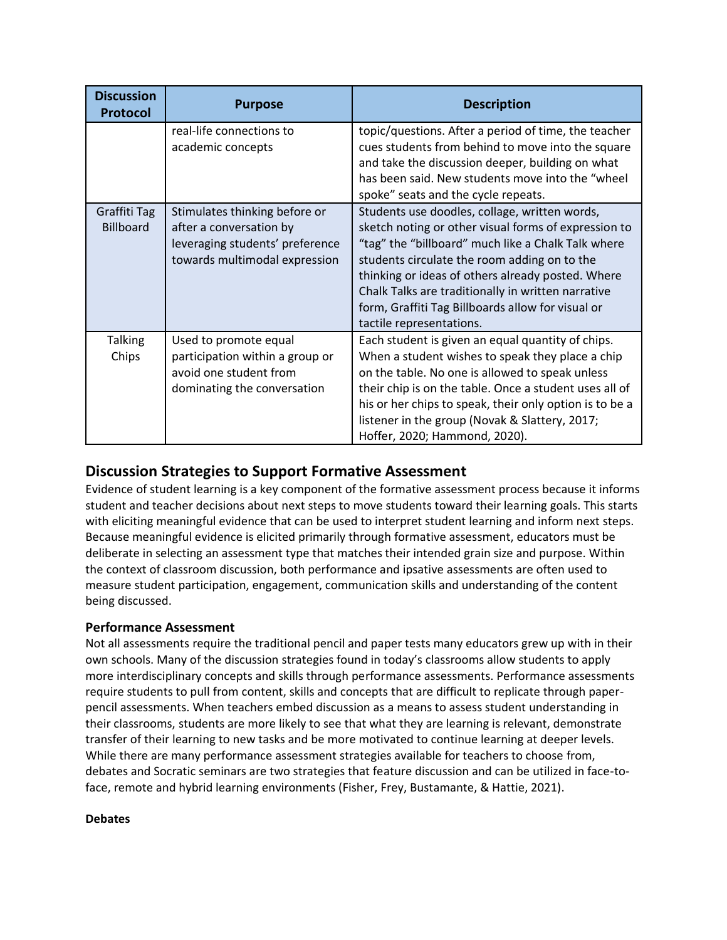| <b>Discussion</b><br><b>Protocol</b> | <b>Purpose</b>                                                                                                               | <b>Description</b>                                                                                                                                                                                                                                                                                                                                                                                      |
|--------------------------------------|------------------------------------------------------------------------------------------------------------------------------|---------------------------------------------------------------------------------------------------------------------------------------------------------------------------------------------------------------------------------------------------------------------------------------------------------------------------------------------------------------------------------------------------------|
|                                      | real-life connections to<br>academic concepts                                                                                | topic/questions. After a period of time, the teacher<br>cues students from behind to move into the square<br>and take the discussion deeper, building on what<br>has been said. New students move into the "wheel<br>spoke" seats and the cycle repeats.                                                                                                                                                |
| Graffiti Tag<br><b>Billboard</b>     | Stimulates thinking before or<br>after a conversation by<br>leveraging students' preference<br>towards multimodal expression | Students use doodles, collage, written words,<br>sketch noting or other visual forms of expression to<br>"tag" the "billboard" much like a Chalk Talk where<br>students circulate the room adding on to the<br>thinking or ideas of others already posted. Where<br>Chalk Talks are traditionally in written narrative<br>form, Graffiti Tag Billboards allow for visual or<br>tactile representations. |
| <b>Talking</b><br>Chips              | Used to promote equal<br>participation within a group or<br>avoid one student from<br>dominating the conversation            | Each student is given an equal quantity of chips.<br>When a student wishes to speak they place a chip<br>on the table. No one is allowed to speak unless<br>their chip is on the table. Once a student uses all of<br>his or her chips to speak, their only option is to be a<br>listener in the group (Novak & Slattery, 2017;<br>Hoffer, 2020; Hammond, 2020).                                        |

# **Discussion Strategies to Support Formative Assessment**

Evidence of student learning is a key component of the formative assessment process because it informs student and teacher decisions about next steps to move students toward their learning goals. This starts with eliciting meaningful evidence that can be used to interpret student learning and inform next steps. Because meaningful evidence is elicited primarily through formative assessment, educators must be deliberate in selecting an assessment type that matches their intended grain size and purpose. Within the context of classroom discussion, both performance and ipsative assessments are often used to measure student participation, engagement, communication skills and understanding of the content being discussed.

## **Performance Assessment**

Not all assessments require the traditional pencil and paper tests many educators grew up with in their own schools. Many of the discussion strategies found in today's classrooms allow students to apply more interdisciplinary concepts and skills through performance assessments. Performance assessments require students to pull from content, skills and concepts that are difficult to replicate through paperpencil assessments. When teachers embed discussion as a means to assess student understanding in their classrooms, students are more likely to see that what they are learning is relevant, demonstrate transfer of their learning to new tasks and be more motivated to continue learning at deeper levels. While there are many performance assessment strategies available for teachers to choose from, debates and Socratic seminars are two strategies that feature discussion and can be utilized in face-toface, remote and hybrid learning environments (Fisher, Frey, Bustamante, & Hattie, 2021).

#### **Debates**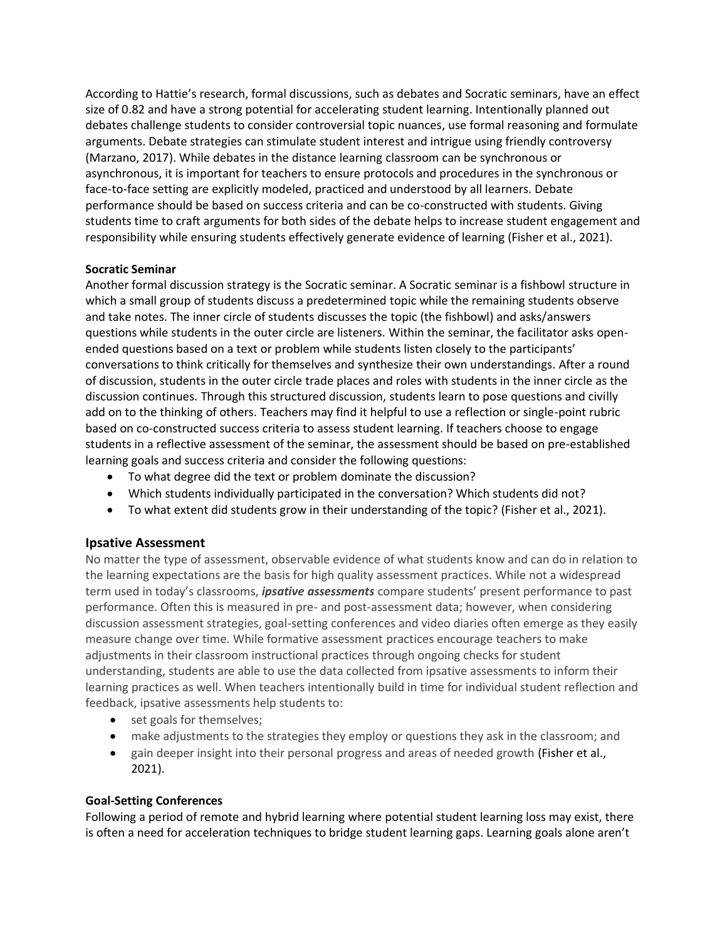According to Hattie's research, formal discussions, such as debates and Socratic seminars, have an effect size of 0.82 and have a strong potential for accelerating student learning. Intentionally planned out debates challenge students to consider controversial topic nuances, use formal reasoning and formulate arguments. Debate strategies can stimulate student interest and intrigue using friendly controversy (Marzano, 2017). While debates in the distance learning classroom can be synchronous or asynchronous, it is important for teachers to ensure protocols and procedures in the synchronous or face-to-face setting are explicitly modeled, practiced and understood by all learners. Debate performance should be based on success criteria and can be co-constructed with students. Giving students time to craft arguments for both sides of the debate helps to increase student engagement and responsibility while ensuring students effectively generate evidence of learning (Fisher et al., 2021).

#### **Socratic Seminar**

Another formal discussion strategy is the Socratic seminar. A Socratic seminar is a fishbowl structure in which a small group of students discuss a predetermined topic while the remaining students observe and take notes. The inner circle of students discusses the topic (the fishbowl) and asks/answers questions while students in the outer circle are listeners. Within the seminar, the facilitator asks openended questions based on a text or problem while students listen closely to the participants' conversations to think critically for themselves and synthesize their own understandings. After a round of discussion, students in the outer circle trade places and roles with students in the inner circle as the discussion continues. Through this structured discussion, students learn to pose questions and civilly add on to the thinking of others. Teachers may find it helpful to use a reflection or single-point rubric based on co-constructed success criteria to assess student learning. If teachers choose to engage students in a reflective assessment of the seminar, the assessment should be based on pre-established learning goals and success criteria and consider the following questions:

- To what degree did the text or problem dominate the discussion?
- Which students individually participated in the conversation? Which students did not?
- To what extent did students grow in their understanding of the topic? (Fisher et al., 2021).

## **Ipsative Assessment**

No matter the type of assessment, observable evidence of what students know and can do in relation to the learning expectations are the basis for high quality assessment practices. While not a widespread term used in today's classrooms, *ipsative assessments* compare students' present performance to past performance. Often this is measured in pre- and post-assessment data; however, when considering discussion assessment strategies, goal-setting conferences and video diaries often emerge as they easily measure change over time. While formative assessment practices encourage teachers to make adjustments in their classroom instructional practices through ongoing checks for student understanding, students are able to use the data collected from ipsative assessments to inform their learning practices as well. When teachers intentionally build in time for individual student reflection and feedback, ipsative assessments help students to:

- set goals for themselves;
- make adjustments to the strategies they employ or questions they ask in the classroom; and
- gain deeper insight into their personal progress and areas of needed growth (Fisher et al., 2021).

#### **Goal-Setting Conferences**

Following a period of remote and hybrid learning where potential student learning loss may exist, there is often a need for acceleration techniques to bridge student learning gaps. Learning goals alone aren't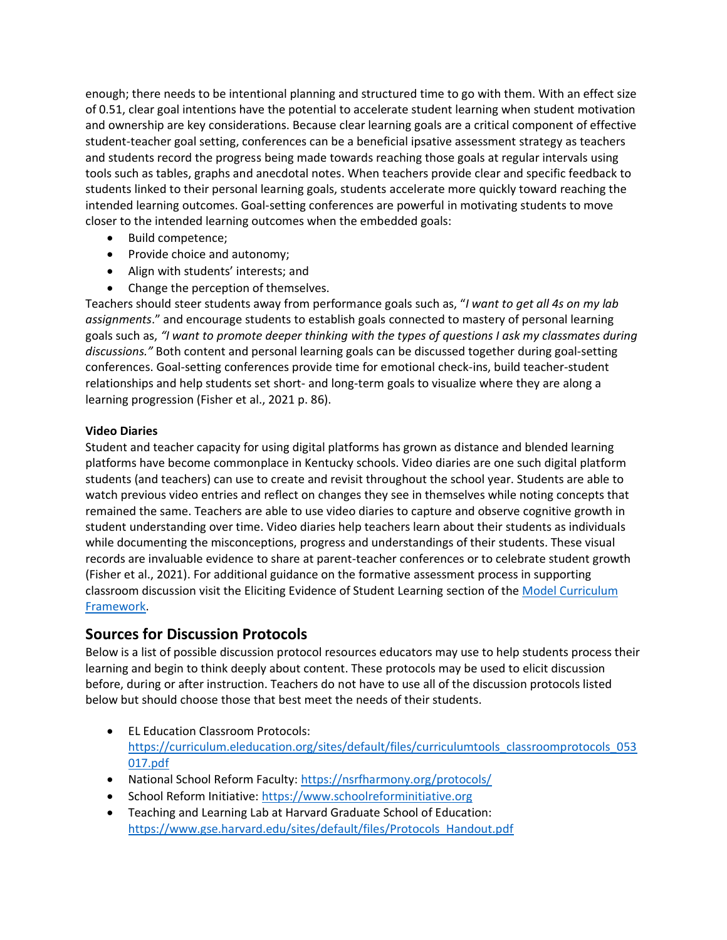enough; there needs to be intentional planning and structured time to go with them. With an effect size of 0.51, clear goal intentions have the potential to accelerate student learning when student motivation and ownership are key considerations. Because clear learning goals are a critical component of effective student-teacher goal setting, conferences can be a beneficial ipsative assessment strategy as teachers and students record the progress being made towards reaching those goals at regular intervals using tools such as tables, graphs and anecdotal notes. When teachers provide clear and specific feedback to students linked to their personal learning goals, students accelerate more quickly toward reaching the intended learning outcomes. Goal-setting conferences are powerful in motivating students to move closer to the intended learning outcomes when the embedded goals:

- Build competence;
- Provide choice and autonomy;
- Align with students' interests; and
- Change the perception of themselves.

Teachers should steer students away from performance goals such as, "*I want to get all 4s on my lab assignments*." and encourage students to establish goals connected to mastery of personal learning goals such as, *"I want to promote deeper thinking with the types of questions I ask my classmates during discussions."* Both content and personal learning goals can be discussed together during goal-setting conferences. Goal-setting conferences provide time for emotional check-ins, build teacher-student relationships and help students set short- and long-term goals to visualize where they are along a learning progression (Fisher et al., 2021 p. 86).

#### **Video Diaries**

Student and teacher capacity for using digital platforms has grown as distance and blended learning platforms have become commonplace in Kentucky schools. Video diaries are one such digital platform students (and teachers) can use to create and revisit throughout the school year. Students are able to watch previous video entries and reflect on changes they see in themselves while noting concepts that remained the same. Teachers are able to use video diaries to capture and observe cognitive growth in student understanding over time. Video diaries help teachers learn about their students as individuals while documenting the misconceptions, progress and understandings of their students. These visual records are invaluable evidence to share at parent-teacher conferences or to celebrate student growth (Fisher et al., 2021). For additional guidance on the formative assessment process in supporting classroom discussion visit the Eliciting Evidence of Student Learning section of the [Model Curriculum](https://education.ky.gov/curriculum/standards/kyacadstand/Documents/Model_Curriculum_Framework.pdf)  [Framework.](https://education.ky.gov/curriculum/standards/kyacadstand/Documents/Model_Curriculum_Framework.pdf)

## **Sources for Discussion Protocols**

Below is a list of possible discussion protocol resources educators may use to help students process their learning and begin to think deeply about content. These protocols may be used to elicit discussion before, during or after instruction. Teachers do not have to use all of the discussion protocols listed below but should choose those that best meet the needs of their students.

- EL Education Classroom Protocols: [https://curriculum.eleducation.org/sites/default/files/curriculumtools\\_classroomprotocols\\_053](https://curriculum.eleducation.org/sites/default/files/curriculumtools_classroomprotocols_053017.pdf) [017.pdf](https://curriculum.eleducation.org/sites/default/files/curriculumtools_classroomprotocols_053017.pdf)
- National School Reform Faculty:<https://nsrfharmony.org/protocols/>
- School Reform Initiative: [https://www.schoolreforminitiative.org](https://www.schoolreforminitiative.org/)
- Teaching and Learning Lab at Harvard Graduate School of Education: [https://www.gse.harvard.edu/sites/default/files/Protocols\\_Handout.pdf](https://www.gse.harvard.edu/sites/default/files/Protocols_Handout.pdf)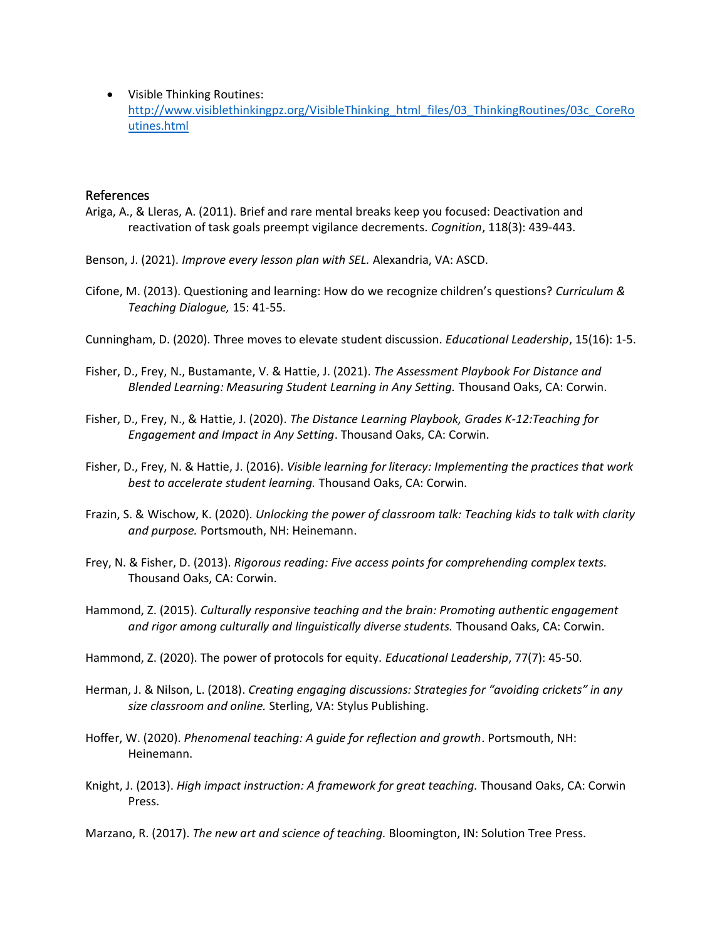• Visible Thinking Routines: [http://www.visiblethinkingpz.org/VisibleThinking\\_html\\_files/03\\_ThinkingRoutines/03c\\_CoreRo](http://www.visiblethinkingpz.org/VisibleThinking_html_files/03_ThinkingRoutines/03c_CoreRoutines.html) [utines.html](http://www.visiblethinkingpz.org/VisibleThinking_html_files/03_ThinkingRoutines/03c_CoreRoutines.html)

#### References

- Ariga, A., & Lleras, A. (2011). Brief and rare mental breaks keep you focused: Deactivation and reactivation of task goals preempt vigilance decrements. *Cognition*, 118(3): 439-443.
- Benson, J. (2021). *Improve every lesson plan with SEL.* Alexandria, VA: ASCD.
- Cifone, M. (2013). Questioning and learning: How do we recognize children's questions? *Curriculum & Teaching Dialogue,* 15: 41-55.

Cunningham, D. (2020). Three moves to elevate student discussion. *Educational Leadership*, 15(16): 1-5.

- Fisher, D., Frey, N., Bustamante, V. & Hattie, J. (2021). *The Assessment Playbook For Distance and Blended Learning: Measuring Student Learning in Any Setting.* Thousand Oaks, CA: Corwin.
- Fisher, D., Frey, N., & Hattie, J. (2020). *The Distance Learning Playbook, Grades K-12:Teaching for Engagement and Impact in Any Setting*. Thousand Oaks, CA: Corwin.
- Fisher, D., Frey, N. & Hattie, J. (2016). *Visible learning for literacy: Implementing the practices that work best to accelerate student learning.* Thousand Oaks, CA: Corwin.
- Frazin, S. & Wischow, K. (2020). *Unlocking the power of classroom talk: Teaching kids to talk with clarity and purpose.* Portsmouth, NH: Heinemann.
- Frey, N. & Fisher, D. (2013). *Rigorous reading: Five access points for comprehending complex texts.* Thousand Oaks, CA: Corwin.
- Hammond, Z. (2015). *Culturally responsive teaching and the brain: Promoting authentic engagement and rigor among culturally and linguistically diverse students.* Thousand Oaks, CA: Corwin.
- Hammond, Z. (2020). The power of protocols for equity. *Educational Leadership*, 77(7): 45-50.
- Herman, J. & Nilson, L. (2018). *Creating engaging discussions: Strategies for "avoiding crickets" in any size classroom and online.* Sterling, VA: Stylus Publishing.
- Hoffer, W. (2020). *Phenomenal teaching: A guide for reflection and growth*. Portsmouth, NH: Heinemann.
- Knight, J. (2013). *High impact instruction: A framework for great teaching.* Thousand Oaks, CA: Corwin Press.

Marzano, R. (2017). *The new art and science of teaching.* Bloomington, IN: Solution Tree Press.